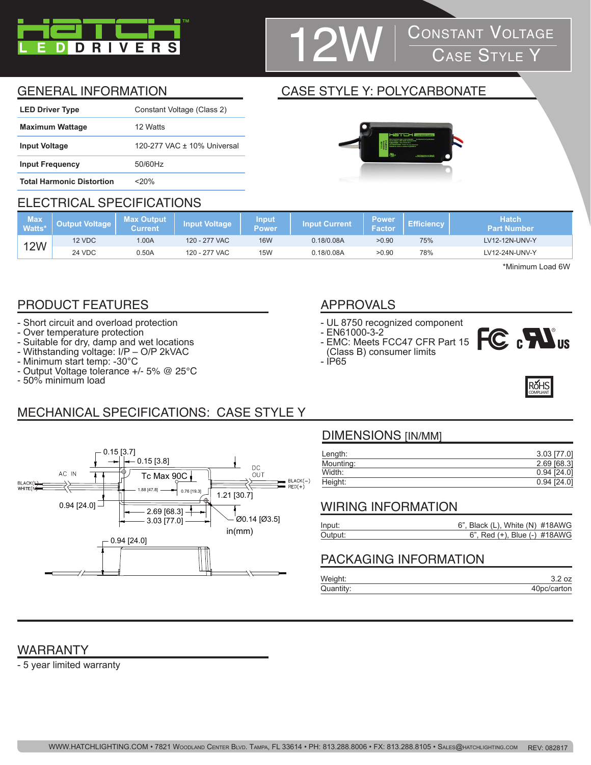

## **CONSTANT VOLTAGE**<br>CASE STYLE Y

### GENERAL INFORMATION CASE STYLE Y: POLYCARBONATE

| <b>LED Driver Type</b>           | Constant Voltage (Class 2)  |
|----------------------------------|-----------------------------|
| <b>Maximum Wattage</b>           | 12 Watts                    |
| <b>Input Voltage</b>             | 120-277 VAC ± 10% Universal |
| <b>Input Frequency</b>           | 50/60Hz                     |
| <b>Total Harmonic Distortion</b> | <20%                        |

#### ELECTRICAL SPECIFICATIONS

#### **Max Watts\* Output Voltage Max Output Current Input Voltage Input Power Input Current Power**  Power Efficiency **Hatch**<br>Factor Efficiency Part Num **Part Number**

| Watts $^{\star\dagger}$ |        | Current |               | <b>lower</b> | ∪urrent<br>inbut t | ____<br>acto |     |                |  |
|-------------------------|--------|---------|---------------|--------------|--------------------|--------------|-----|----------------|--|
| <b>12W</b>              | 12 VDC | .00A    | 120 - 277 VAC | <b>16W</b>   | 0.18/0.08A         | >0.90        | 75% | LV12-12N-UNV-Y |  |
|                         | 24 VDC | 0.50A   | 120 - 277 VAC | <b>15W</b>   | 18/0.08A           | >0.90        | 78% | LV12-24N-UNV-Y |  |

\*Minimum Load 6W

### PRODUCT FEATURES APPROVALS

- Short circuit and overload protection
- Over temperature protection
- Suitable for dry, damp and wet locations
- Withstanding voltage: I/P O/P 2kVAC
- Minimum start temp: -30°C
- Output Voltage tolerance +/- 5% @ 25°C
- 50% minimum load

- UL 8750 recognized component
- EN61000-3-2 - EMC: Meets FCC47 CFR Part 15
- (Class B) consumer limits
- IP65





## MECHANICAL SPECIFICATIONS: CASE STYLE Y



#### DIMENSIONS [IN/MM]

| Length:   | 3.03 [77.0]   |
|-----------|---------------|
| Mounting: | 2.69 [68.3]   |
| Width:    | $0.94$ [24.0] |
| Height:   | $0.94$ [24.0] |

#### WIRING INFORMATION

| Input:  | $6$ ", Black (L), White (N) $\#18AWG$ |  |
|---------|---------------------------------------|--|
| Output: | 6", Red (+), Blue (-) #18AWG          |  |

#### PACKAGING INFORMATION

| Weight:   |             |
|-----------|-------------|
| Quantity: | 40pc/carton |

### WARRANTY

- 5 year limited warranty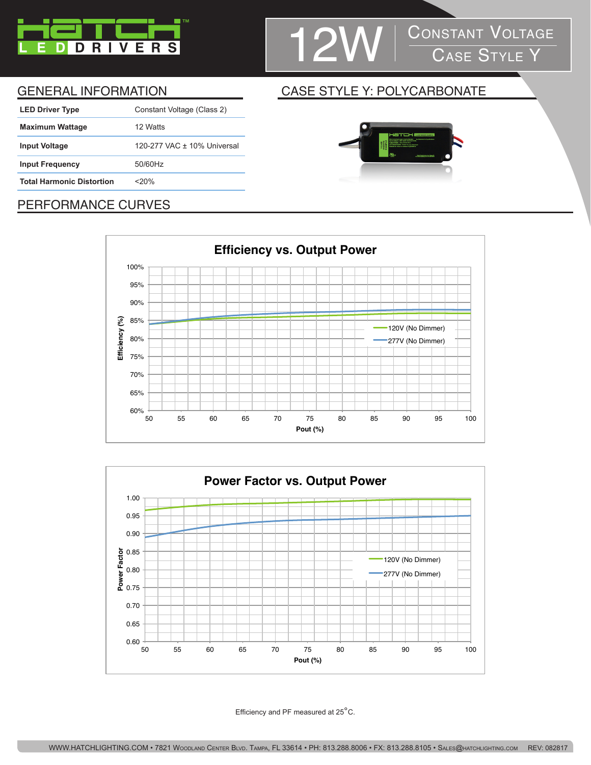

# 12W CONSTANT VOLTAGE

| <b>LED Driver Type</b>           | Constant Voltage (Class 2)  |
|----------------------------------|-----------------------------|
| <b>Maximum Wattage</b>           | 12 Watts                    |
| <b>Input Voltage</b>             | 120-277 VAC ± 10% Universal |
| <b>Input Frequency</b>           | 50/60Hz                     |
| <b>Total Harmonic Distortion</b> | $<$ 20%                     |
|                                  |                             |

#### GENERAL INFORMATION CASE STYLE Y: POLYCARBONATE



### PERFORMANCE CURVES





Efficiency and PF measured at 25°C.